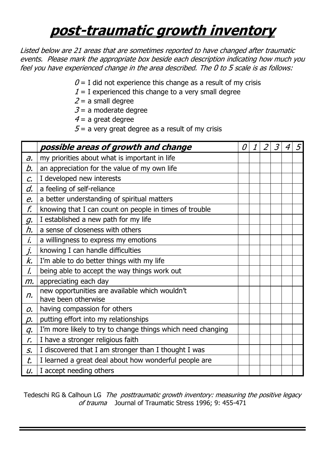## **post-traumatic growth inventory**

Listed below are 21 areas that are sometimes reported to have changed after traumatic events. Please mark the appropriate box beside each description indicating how much you feel you have experienced change in the area described. The 0 to 5 scale is as follows:

- $0 = I$  did not experience this change as a result of my crisis
- $1 = I$  experienced this change to a very small degree
- $2 = a$  small degree
- $3 = a$  moderate degree
- $4$  = a great degree
- $5$  = a very great degree as a result of my crisis

|                          | possible areas of growth and change                                   | 0 | 1 | 2 | 3 |  |
|--------------------------|-----------------------------------------------------------------------|---|---|---|---|--|
| $\partial$ .             | my priorities about what is important in life                         |   |   |   |   |  |
| b.                       | an appreciation for the value of my own life                          |   |   |   |   |  |
| $\mathcal{C}$            | I developed new interests                                             |   |   |   |   |  |
| d.                       | a feeling of self-reliance                                            |   |   |   |   |  |
| e.                       | a better understanding of spiritual matters                           |   |   |   |   |  |
| f.                       | knowing that I can count on people in times of trouble                |   |   |   |   |  |
| $\mathcal{G}$ .          | I established a new path for my life                                  |   |   |   |   |  |
| h.                       | a sense of closeness with others                                      |   |   |   |   |  |
| $\dot{L}$                | a willingness to express my emotions                                  |   |   |   |   |  |
| $\overline{L}$           | knowing I can handle difficulties                                     |   |   |   |   |  |
| k.                       | I'm able to do better things with my life                             |   |   |   |   |  |
| $\overline{L}$           | being able to accept the way things work out                          |   |   |   |   |  |
| $m$ .                    | appreciating each day                                                 |   |   |   |   |  |
| $n_{\cdot}$              | new opportunities are available which wouldn't<br>have been otherwise |   |   |   |   |  |
| 0.                       | having compassion for others                                          |   |   |   |   |  |
| p.                       | putting effort into my relationships                                  |   |   |   |   |  |
| $q_{\cdot}$              | I'm more likely to try to change things which need changing           |   |   |   |   |  |
| $\mathcal{L}$            | I have a stronger religious faith                                     |   |   |   |   |  |
| $S_{\boldsymbol{\cdot}}$ | I discovered that I am stronger than I thought I was                  |   |   |   |   |  |
| t.                       | I learned a great deal about how wonderful people are                 |   |   |   |   |  |
| U.                       | I accept needing others                                               |   |   |   |   |  |

Tedeschi RG & Calhoun LG The posttraumatic growth inventory: measuring the positive legacy of trauma Journal of Traumatic Stress 1996; 9: 455-471